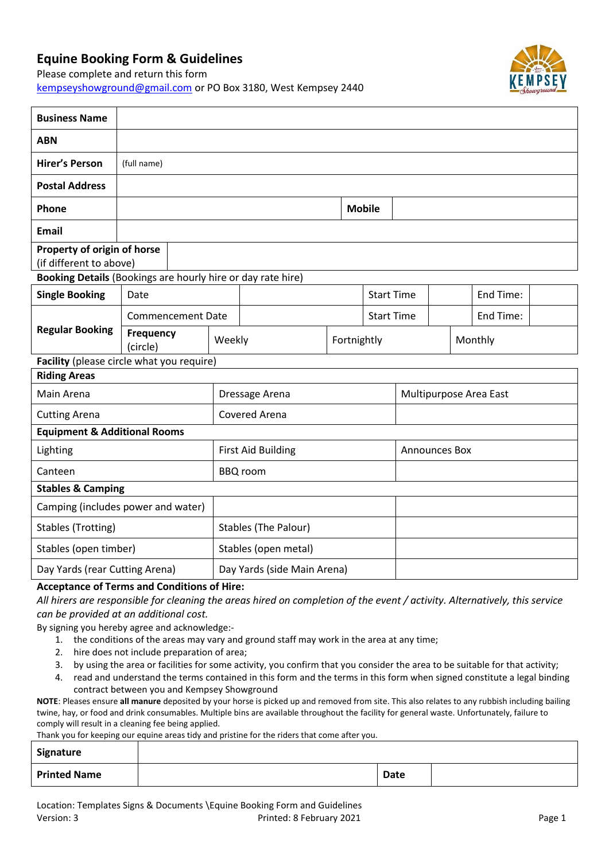## **Equine Booking Form & Guidelines**

T

Please complete and return this form [kempseyshowground@gmail.com](mailto:kempseyshowground@gmail.com) or PO Box 3180, West Kempsey 2440



| <b>Business Name</b>                                        |                              |                          |                           |                             |                        |               |  |           |  |  |
|-------------------------------------------------------------|------------------------------|--------------------------|---------------------------|-----------------------------|------------------------|---------------|--|-----------|--|--|
| <b>ABN</b>                                                  |                              |                          |                           |                             |                        |               |  |           |  |  |
| <b>Hirer's Person</b>                                       | (full name)                  |                          |                           |                             |                        |               |  |           |  |  |
| <b>Postal Address</b>                                       |                              |                          |                           |                             |                        |               |  |           |  |  |
| Phone                                                       |                              |                          |                           |                             |                        | <b>Mobile</b> |  |           |  |  |
| <b>Email</b>                                                |                              |                          |                           |                             |                        |               |  |           |  |  |
| Property of origin of horse<br>(if different to above)      |                              |                          |                           |                             |                        |               |  |           |  |  |
| Booking Details (Bookings are hourly hire or day rate hire) |                              |                          |                           |                             |                        |               |  |           |  |  |
| <b>Single Booking</b>                                       | Date                         |                          |                           | <b>Start Time</b>           |                        |               |  | End Time: |  |  |
| <b>Regular Booking</b>                                      |                              | <b>Commencement Date</b> |                           | <b>Start Time</b>           |                        |               |  | End Time: |  |  |
|                                                             | <b>Frequency</b><br>(circle) |                          |                           | Weekly                      |                        | Fortnightly   |  | Monthly   |  |  |
| Facility (please circle what you require)                   |                              |                          |                           |                             |                        |               |  |           |  |  |
| <b>Riding Areas</b>                                         |                              |                          |                           |                             |                        |               |  |           |  |  |
| Main Arena                                                  |                              | Dressage Arena           |                           |                             | Multipurpose Area East |               |  |           |  |  |
| <b>Cutting Arena</b>                                        |                              |                          | Covered Arena             |                             |                        |               |  |           |  |  |
| <b>Equipment &amp; Additional Rooms</b>                     |                              |                          |                           |                             |                        |               |  |           |  |  |
| Lighting                                                    |                              |                          | <b>First Aid Building</b> |                             |                        | Announces Box |  |           |  |  |
| Canteen                                                     |                              | <b>BBQ</b> room          |                           |                             |                        |               |  |           |  |  |
| <b>Stables &amp; Camping</b>                                |                              |                          |                           |                             |                        |               |  |           |  |  |
| Camping (includes power and water)                          |                              |                          |                           |                             |                        |               |  |           |  |  |
| Stables (Trotting)                                          |                              |                          | Stables (The Palour)      |                             |                        |               |  |           |  |  |
| Stables (open timber)                                       |                              |                          | Stables (open metal)      |                             |                        |               |  |           |  |  |
| Day Yards (rear Cutting Arena)                              |                              |                          |                           | Day Yards (side Main Arena) |                        |               |  |           |  |  |

## **Acceptance of Terms and Conditions of Hire:**

*All hirers are responsible for cleaning the areas hired on completion of the event / activity. Alternatively, this service can be provided at an additional cost.*

By signing you hereby agree and acknowledge:-

- 1. the conditions of the areas may vary and ground staff may work in the area at any time;
- 2. hire does not include preparation of area;
- 3. by using the area or facilities for some activity, you confirm that you consider the area to be suitable for that activity;
- 4. read and understand the terms contained in this form and the terms in this form when signed constitute a legal binding contract between you and Kempsey Showground

**NOTE**: Pleases ensure **all manure** deposited by your horse is picked up and removed from site. This also relates to any rubbish including bailing twine, hay, or food and drink consumables. Multiple bins are available throughout the facility for general waste. Unfortunately, failure to comply will result in a cleaning fee being applied.

Thank you for keeping our equine areas tidy and pristine for the riders that come after you.

| Signature           |             |  |
|---------------------|-------------|--|
| <b>Printed Name</b> | <b>Date</b> |  |